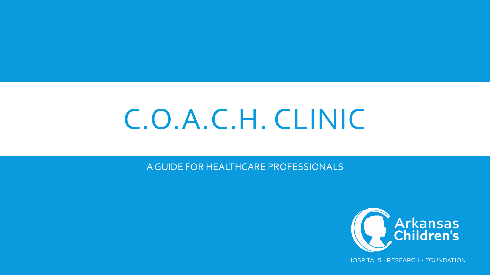# C.O.A.C.H. CLINIC

A GUIDE FOR HEALTHCARE PROFESSIONALS

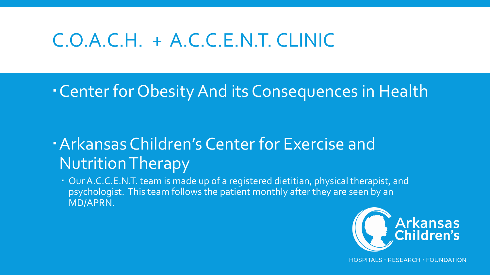## C.O.A.C.H. + A.C.C.E.N.T. CLINIC

#### Center for Obesity And its Consequences in Health

#### Arkansas Children's Center for Exercise and Nutrition Therapy

 Our A.C.C.E.N.T. team is made up of a registered dietitian, physical therapist, and psychologist. This team follows the patient monthly after they are seen by an MD/APRN.

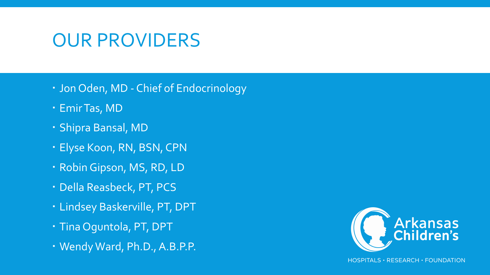### OUR PROVIDERS

- Jon Oden, MD Chief of Endocrinology
- Emir Tas, MD
- Shipra Bansal, MD
- Elyse Koon, RN, BSN, CPN
- Robin Gipson, MS, RD, LD
- Della Reasbeck, PT, PCS
- Lindsey Baskerville, PT, DPT
- Tina Oguntola, PT, DPT
- Wendy Ward, Ph.D., A.B.P.P.

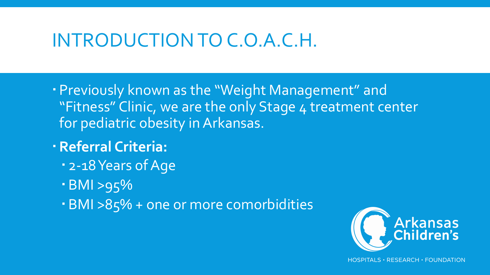#### INTRODUCTION TO C.O.A.C.H.

- Previously known as the "Weight Management" and "Fitness" Clinic, we are the only Stage 4 treatment center for pediatric obesity in Arkansas.
- **Referral Criteria:**
	- 2-18 Years of Age
	- BMI >95%
	- BMI >85% + one or more comorbidities

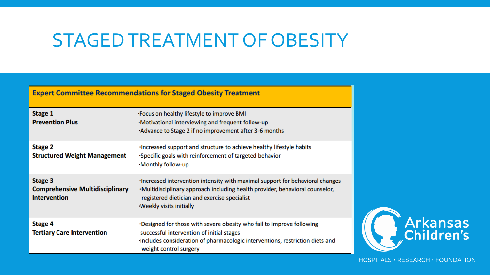#### STAGED TREATMENT OF OBESITY

#### **Expert Committee Recommendations for Staged Obesity Treatment**

| Stage 1<br><b>Prevention Plus</b>                                        | . Focus on healthy lifestyle to improve BMI<br>.Motivational interviewing and frequent follow-up<br>Advance to Stage 2 if no improvement after 3-6 months                                                                                        |
|--------------------------------------------------------------------------|--------------------------------------------------------------------------------------------------------------------------------------------------------------------------------------------------------------------------------------------------|
| Stage 2<br><b>Structured Weight Management</b>                           | . Increased support and structure to achieve healthy lifestyle habits<br>. Specific goals with reinforcement of targeted behavior<br>.Monthly follow-up                                                                                          |
| Stage 3<br><b>Comprehensive Multidisciplinary</b><br><b>Intervention</b> | . Increased intervention intensity with maximal support for behavioral changes<br>.Multidisciplinary approach including health provider, behavioral counselor,<br>registered dietician and exercise specialist<br><b>Weekly visits initially</b> |
| Stage 4<br><b>Tertiary Care Intervention</b>                             | . Designed for those with severe obesity who fail to improve following<br>successful intervention of initial stages<br>Includes consideration of pharmacologic interventions, restriction diets and<br>weight control surgery                    |

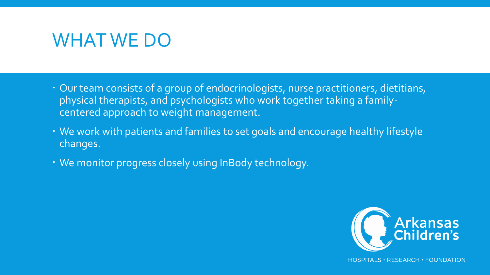#### WHAT WE DO

- Our team consists of a group of endocrinologists, nurse practitioners, dietitians, physical therapists, and psychologists who work together taking a familycentered approach to weight management.
- We work with patients and families to set goals and encourage healthy lifestyle changes.
- We monitor progress closely using InBody technology.

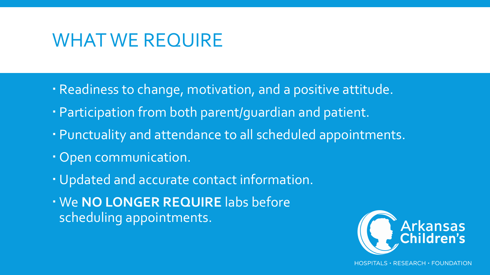#### WHAT WE REQUIRE

- Readiness to change, motivation, and a positive attitude.
- Participation from both parent/guardian and patient.
- Punctuality and attendance to all scheduled appointments.
- Open communication.
- Updated and accurate contact information.
- We **NO LONGER REQUIRE** labs before scheduling appointments.

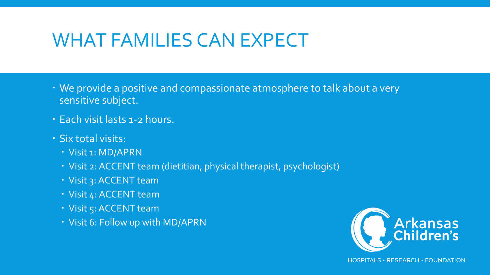### WHAT FAMILIES CAN EXPECT

- We provide a positive and compassionate atmosphere to talk about a very sensitive subject.
- Each visit lasts 1-2 hours.
- Six total visits:
	- Visit 1: MD/APRN
	- Visit 2: ACCENT team (dietitian, physical therapist, psychologist)
	- Visit 3: ACCENT team
	- Visit 4: ACCENT team
	- Visit 5: ACCENT team
	- Visit 6: Follow up with MD/APRN